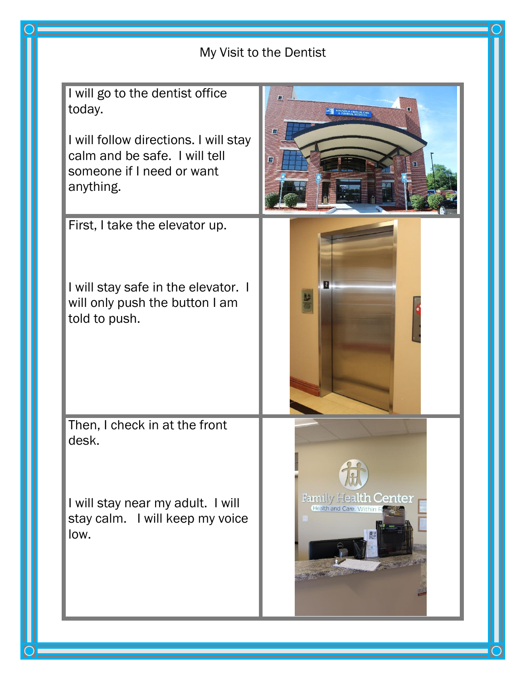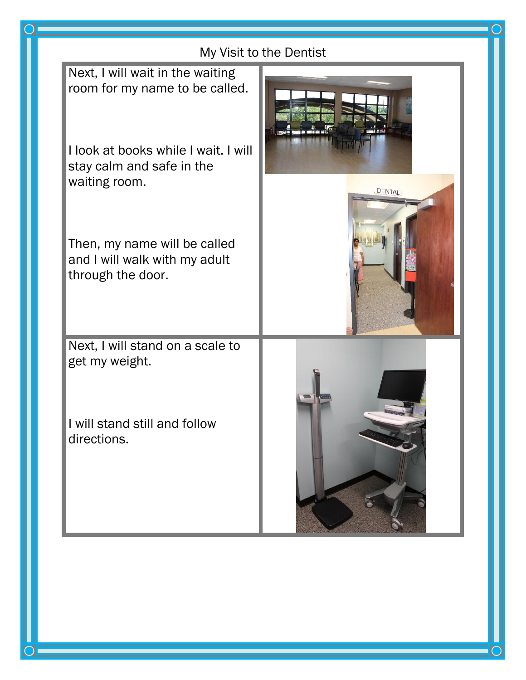| My Visit to the Dentist                                                            |        |
|------------------------------------------------------------------------------------|--------|
| Next, I will wait in the waiting<br>room for my name to be called.                 |        |
| I look at books while I wait. I will<br>stay calm and safe in the<br>waiting room. | DENTAL |
| Then, my name will be called<br>and I will walk with my adult<br>through the door. |        |
| Next, I will stand on a scale to<br>get my weight.                                 |        |
| I will stand still and follow<br>directions.                                       |        |
|                                                                                    |        |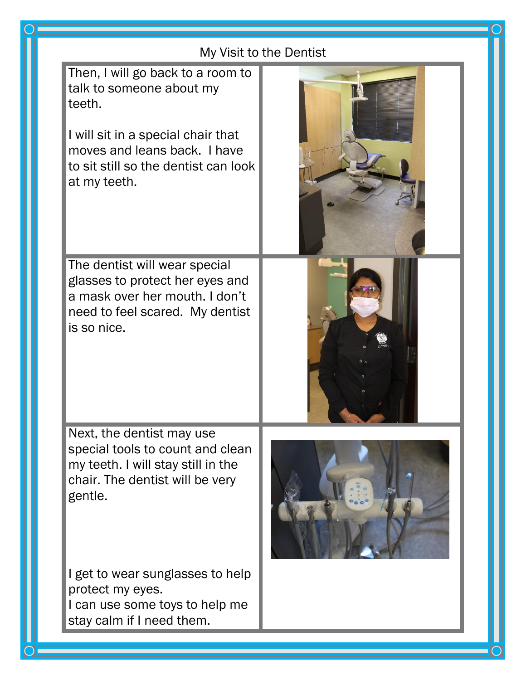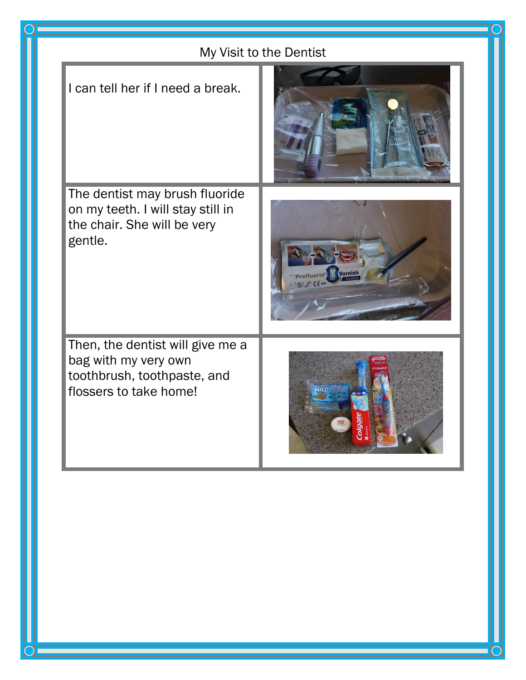